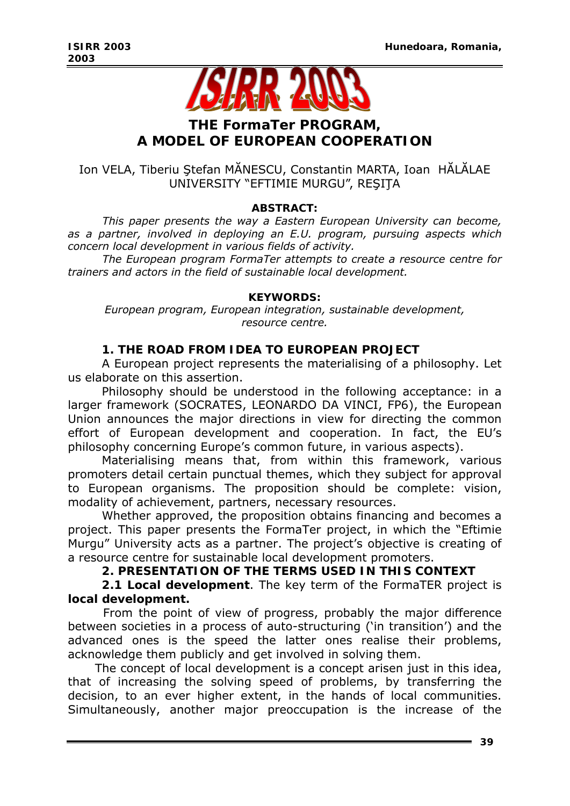

# **THE FormaTer PROGRAM, A MODEL OF EUROPEAN COOPERATION**

# Ion VELA, Tiberiu Ştefan MĂNESCU, Constantin MARTA, Ioan HĂLĂLAE UNIVERSITY "EFTIMIE MURGU", REŞIŢA

## *ABSTRACT:*

*This paper presents the way a Eastern European University can become, as a partner, involved in deploying an E.U. program, pursuing aspects which concern local development in various fields of activity.* 

*The European program FormaTer attempts to create a resource centre for trainers and actors in the field of sustainable local development.* 

### *KEYWORDS:*

*European program, European integration, sustainable development, resource centre.* 

## **1. THE ROAD FROM IDEA TO EUROPEAN PROJECT**

A European project represents the materialising of a philosophy. Let us elaborate on this assertion.

Philosophy should be understood in the following acceptance: in a larger framework (SOCRATES, LEONARDO DA VINCI, FP6), the European Union announces the major directions in view for directing the common effort of European development and cooperation. In fact, the EU's philosophy concerning Europe's common future, in various aspects).

Materialising means that, from within this framework, various promoters detail certain punctual themes, which they subject for approval to European organisms. The proposition should be complete: vision, modality of achievement, partners, necessary resources.

Whether approved, the proposition obtains financing and becomes a project. This paper presents the FormaTer project, in which the "Eftimie Murgu" University acts as a partner. The project's objective is creating of a resource centre for sustainable local development promoters.

## **2. PRESENTATION OF THE TERMS USED IN THIS CONTEXT**

**2.1 Local development**. The key term of the FormaTER project is **local development.**

 From the point of view of progress, probably the major difference between societies in a process of auto-structuring ('in transition') and the advanced ones is the speed the latter ones realise their problems, acknowledge them publicly and get involved in solving them.

The concept of local development is a concept arisen just in this idea, that of increasing the solving speed of problems, by transferring the decision, to an ever higher extent, in the hands of local communities. Simultaneously, another major preoccupation is the increase of the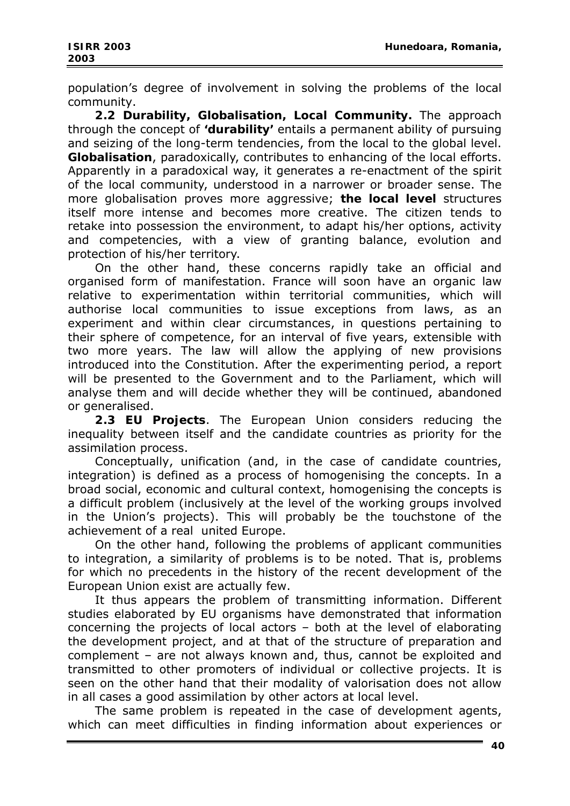population's degree of involvement in solving the problems of the local community.

**2.2 Durability, Globalisation, Local Community.** The approach through the concept of **'durability'** entails a permanent ability of pursuing and seizing of the long-term tendencies, from the local to the global level. **Globalisation**, paradoxically, contributes to enhancing of the local efforts. Apparently in a paradoxical way, it generates a re-enactment of the spirit of the local community, understood in a narrower or broader sense. The more globalisation proves more aggressive; **the local level** structures itself more intense and becomes more creative. The citizen tends to retake into possession the environment, to adapt his/her options, activity and competencies, with a view of granting balance, evolution and protection of his/her territory.

On the other hand, these concerns rapidly take an official and organised form of manifestation. France will soon have an organic law relative to experimentation within territorial communities, which will authorise local communities to issue exceptions from laws, as an experiment and within clear circumstances, in questions pertaining to their sphere of competence, for an interval of five years, extensible with two more years. The law will allow the applying of new provisions introduced into the Constitution. After the experimenting period, a report will be presented to the Government and to the Parliament, which will analyse them and will decide whether they will be continued, abandoned or generalised.

**2.3 EU Projects**. The European Union considers reducing the inequality between itself and the candidate countries as priority for the assimilation process.

Conceptually, unification (and, in the case of candidate countries, integration) is defined as a process of homogenising the concepts. In a broad social, economic and cultural context, homogenising the concepts is a difficult problem (inclusively at the level of the working groups involved in the Union's projects). This will probably be the touchstone of the achievement of a real united Europe.

On the other hand, following the problems of applicant communities to integration, a similarity of problems is to be noted. That is, problems for which no precedents in the history of the recent development of the European Union exist are actually few.

It thus appears the problem of transmitting information. Different studies elaborated by EU organisms have demonstrated that information concerning the projects of local actors – both at the level of elaborating the development project, and at that of the structure of preparation and complement – are not always known and, thus, cannot be exploited and transmitted to other promoters of individual or collective projects. It is seen on the other hand that their modality of valorisation does not allow in all cases a good assimilation by other actors at local level.

The same problem is repeated in the case of development agents, which can meet difficulties in finding information about experiences or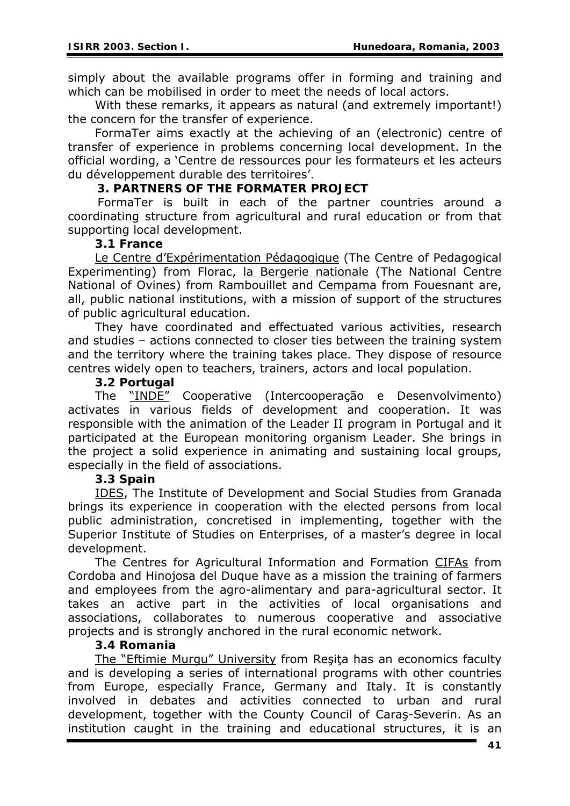simply about the available programs offer in forming and training and which can be mobilised in order to meet the needs of local actors.

With these remarks, it appears as natural (and extremely important!) the concern for the transfer of experience.

FormaTer aims exactly at the achieving of an (electronic) centre of transfer of experience in problems concerning local development. In the official wording, a 'Centre de ressources pour les formateurs et les acteurs du développement durable des territoires'.

## **3. PARTNERS OF THE FORMATER PROJECT**

 FormaTer is built in each of the partner countries around a coordinating structure from agricultural and rural education or from that supporting local development.

### **3.1 France**

Le Centre d'Expérimentation Pédagogique (The Centre of Pedagogical Experimenting) from Florac, la Bergerie nationale (The National Centre National of Ovines) from Rambouillet and Cempama from Fouesnant are, all, public national institutions, with a mission of support of the structures of public agricultural education.

They have coordinated and effectuated various activities, research and studies – actions connected to closer ties between the training system and the territory where the training takes place. They dispose of resource centres widely open to teachers, trainers, actors and local population.

### **3.2 Portugal**

The "INDE" Cooperative (Intercooperação e Desenvolvimento) activates in various fields of development and cooperation. It was responsible with the animation of the Leader II program in Portugal and it participated at the European monitoring organism Leader. She brings in the project a solid experience in animating and sustaining local groups, especially in the field of associations.

### **3.3 Spain**

IDES, The Institute of Development and Social Studies from Granada brings its experience in cooperation with the elected persons from local public administration, concretised in implementing, together with the Superior Institute of Studies on Enterprises, of a master's degree in local development.

The Centres for Agricultural Information and Formation CIFAs from Cordoba and Hinojosa del Duque have as a mission the training of farmers and employees from the agro-alimentary and para-agricultural sector. It takes an active part in the activities of local organisations and associations, collaborates to numerous cooperative and associative projects and is strongly anchored in the rural economic network.

### **3.4 Romania**

The "Eftimie Murgu" University from Reşiţa has an economics faculty and is developing a series of international programs with other countries from Europe, especially France, Germany and Italy. It is constantly involved in debates and activities connected to urban and rural development, together with the County Council of Caraş-Severin. As an institution caught in the training and educational structures, it is an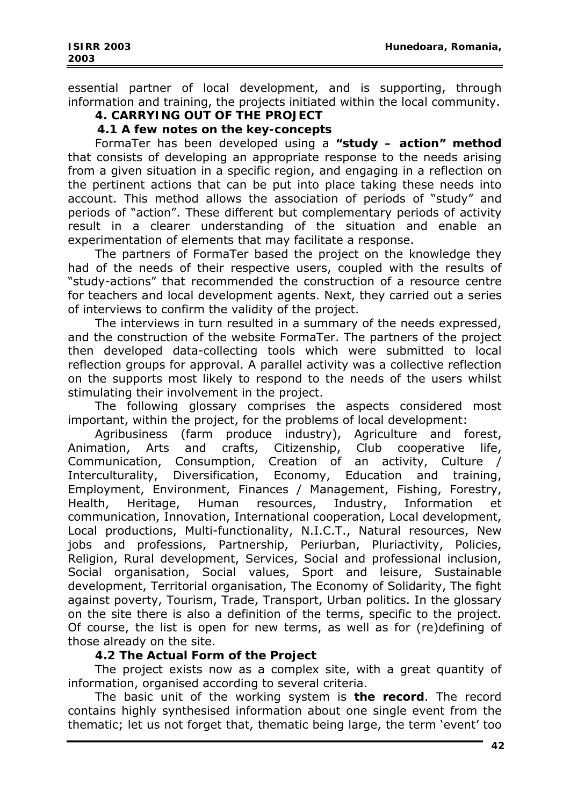essential partner of local development, and is supporting, through information and training, the projects initiated within the local community.

# **4. CARRYING OUT OF THE PROJECT**

 **4.1 A few notes on the key-concepts** 

FormaTer has been developed using a **"study – action" method** that consists of developing an appropriate response to the needs arising from a given situation in a specific region, and engaging in a reflection on the pertinent actions that can be put into place taking these needs into account. This method allows the association of periods of "study" and periods of "action". These different but complementary periods of activity result in a clearer understanding of the situation and enable an experimentation of elements that may facilitate a response.

The partners of FormaTer based the project on the knowledge they had of the needs of their respective users, coupled with the results of "study-actions" that recommended the construction of a resource centre for teachers and local development agents. Next, they carried out a series of interviews to confirm the validity of the project.

The interviews in turn resulted in a summary of the needs expressed, and the construction of the website FormaTer. The partners of the project then developed data-collecting tools which were submitted to local reflection groups for approval. A parallel activity was a collective reflection on the supports most likely to respond to the needs of the users whilst stimulating their involvement in the project.

The following glossary comprises the aspects considered most important, within the project, for the problems of local development:

Agribusiness (farm produce industry), Agriculture and forest, Animation, Arts and crafts, Citizenship, Club cooperative life, Communication, Consumption, Creation of an activity, Culture / Interculturality, Diversification, Economy, Education and training, Employment, Environment, Finances / Management, Fishing, Forestry, Health, Heritage, Human resources, Industry, Information et communication, Innovation, International cooperation, Local development, Local productions, Multi-functionality, N.I.C.T., Natural resources, New jobs and professions, Partnership, Periurban, Pluriactivity, Policies, Religion, Rural development, Services, Social and professional inclusion, Social organisation, Social values, Sport and leisure, Sustainable development, Territorial organisation, The Economy of Solidarity, The fight against poverty, Tourism, Trade, Transport, Urban politics. In the glossary on the site there is also a definition of the terms, specific to the project. Of course, the list is open for new terms, as well as for (re)defining of those already on the site.

### **4.2 The Actual Form of the Project**

The project exists now as a complex site, with a great quantity of information, organised according to several criteria.

The basic unit of the working system is **the record**. The record contains highly synthesised information about one single event from the thematic; let us not forget that, thematic being large, the term 'event' too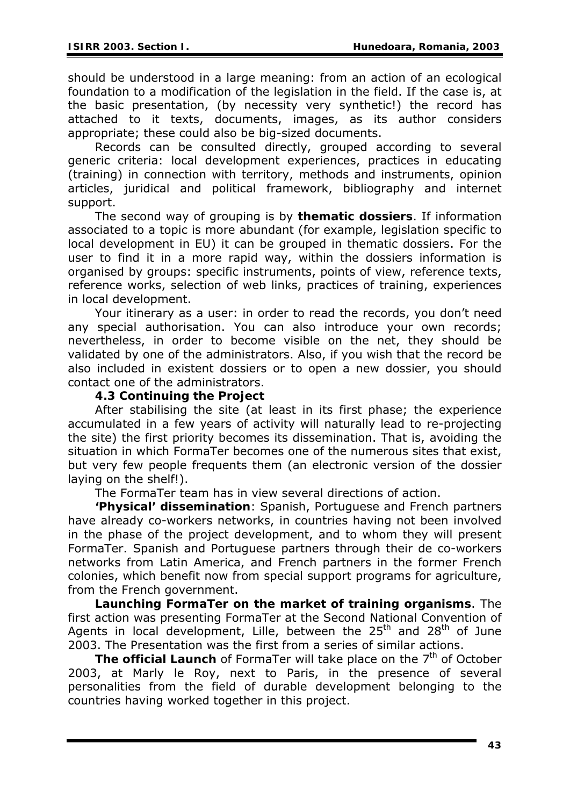should be understood in a large meaning: from an action of an ecological foundation to a modification of the legislation in the field. If the case is, at the basic presentation, (by necessity very synthetic!) the record has attached to it texts, documents, images, as its author considers appropriate; these could also be big-sized documents.

Records can be consulted directly, grouped according to several generic criteria: local development experiences, practices in educating (training) in connection with territory, methods and instruments, opinion articles, juridical and political framework, bibliography and internet support.

The second way of grouping is by **thematic dossiers**. If information associated to a topic is more abundant (for example, legislation specific to local development in EU) it can be grouped in thematic dossiers. For the user to find it in a more rapid way, within the dossiers information is organised by groups: specific instruments, points of view, reference texts, reference works, selection of web links, practices of training, experiences in local development.

Your itinerary as a user: in order to read the records, you don't need any special authorisation. You can also introduce your own records; nevertheless, in order to become visible on the net, they should be validated by one of the administrators. Also, if you wish that the record be also included in existent dossiers or to open a new dossier, you should contact one of the administrators.

#### **4.3 Continuing the Project**

After stabilising the site (at least in its first phase; the experience accumulated in a few years of activity will naturally lead to re-projecting the site) the first priority becomes its dissemination. That is, avoiding the situation in which FormaTer becomes one of the numerous sites that exist, but very few people frequents them (an electronic version of the dossier laying on the shelf!).

The FormaTer team has in view several directions of action.

**'Physical' dissemination**: Spanish, Portuguese and French partners have already co-workers networks, in countries having not been involved in the phase of the project development, and to whom they will present FormaTer. Spanish and Portuguese partners through their de co-workers networks from Latin America, and French partners in the former French colonies, which benefit now from special support programs for agriculture, from the French government.

**Launching FormaTer on the market of training organisms**. The first action was presenting FormaTer at the Second National Convention of Agents in local development, Lille, between the  $25<sup>th</sup>$  and  $28<sup>th</sup>$  of June 2003. The Presentation was the first from a series of similar actions.

**The official Launch** of FormaTer will take place on the 7<sup>th</sup> of October 2003, at Marly le Roy, next to Paris, in the presence of several personalities from the field of durable development belonging to the countries having worked together in this project.